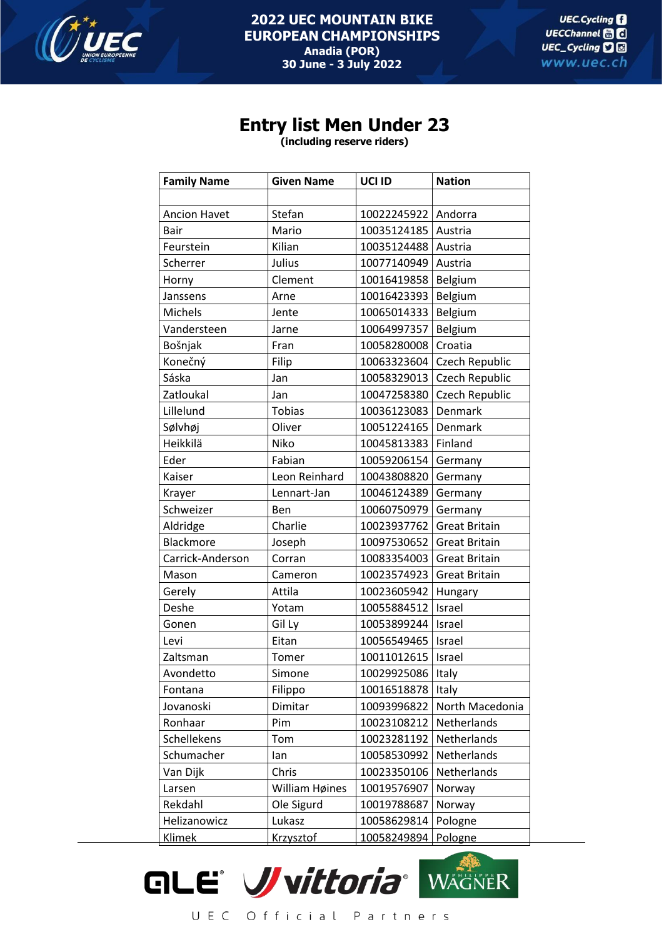

## **Entry list Men Under 23**

**(including reserve riders)**

| <b>Family Name</b>  | <b>Given Name</b> | UCI ID              | <b>Nation</b>        |
|---------------------|-------------------|---------------------|----------------------|
|                     |                   |                     |                      |
| <b>Ancion Havet</b> | Stefan            | 10022245922         | Andorra              |
| Bair                | Mario             | 10035124185         | Austria              |
| Feurstein           | Kilian            | 10035124488         | Austria              |
| Scherrer            | Julius            | 10077140949         | Austria              |
| Horny               | Clement           | 10016419858         | Belgium              |
| Janssens            | Arne              | 10016423393         | Belgium              |
| Michels             | Jente             | 10065014333         | Belgium              |
| Vandersteen         | Jarne             | 10064997357         | Belgium              |
| Bošnjak             | Fran              | 10058280008         | Croatia              |
| Konečný             | Filip             | 10063323604         | Czech Republic       |
| Sáska               | Jan               | 10058329013         | Czech Republic       |
| Zatloukal           | Jan               | 10047258380         | Czech Republic       |
| Lillelund           | <b>Tobias</b>     | 10036123083         | Denmark              |
| Sølvhøj             | Oliver            | 10051224165         | Denmark              |
| Heikkilä            | Niko              | 10045813383         | Finland              |
| Eder                | Fabian            | 10059206154         | Germany              |
| Kaiser              | Leon Reinhard     | 10043808820         | Germany              |
| Krayer              | Lennart-Jan       | 10046124389         | Germany              |
| Schweizer           | <b>Ben</b>        | 10060750979         | Germany              |
| Aldridge            | Charlie           | 10023937762         | <b>Great Britain</b> |
| Blackmore           | Joseph            | 10097530652         | <b>Great Britain</b> |
| Carrick-Anderson    | Corran            | 10083354003         | <b>Great Britain</b> |
| Mason               | Cameron           | 10023574923         | <b>Great Britain</b> |
| Gerely              | Attila            | 10023605942         | Hungary              |
| Deshe               | Yotam             | 10055884512         | Israel               |
| Gonen               | Gil Ly            | 10053899244         | Israel               |
| Levi                | Eitan             | 10056549465         | Israel               |
| Zaltsman            | Tomer             | 10011012615         | Israel               |
| Avondetto           | Simone            | 10029925086   Italy |                      |
| Fontana             | Filippo           | 10016518878         | Italy                |
| Jovanoski           | Dimitar           | 10093996822         | North Macedonia      |
| Ronhaar             | Pim               | 10023108212         | Netherlands          |
| Schellekens         | Tom               | 10023281192         | Netherlands          |
| Schumacher          | lan               | 10058530992         | Netherlands          |
| Van Dijk            | Chris             | 10023350106         | Netherlands          |
| Larsen              | William Høines    | 10019576907         | Norway               |
| Rekdahl             | Ole Sigurd        | 10019788687         | Norway               |
| Helizanowicz        | Lukasz            | 10058629814         | Pologne              |
| <b>Klimek</b>       | <b>Krzysztof</b>  | 10058249894         | Pologne              |